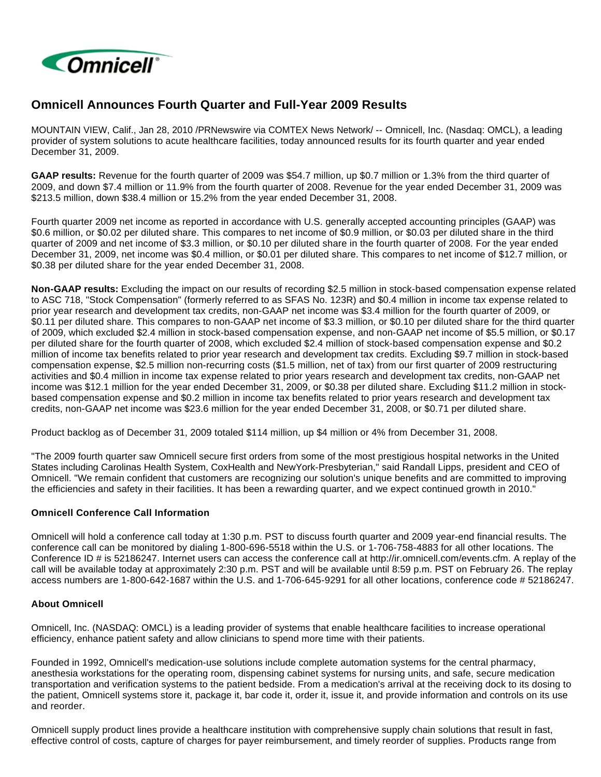

# **Omnicell Announces Fourth Quarter and Full-Year 2009 Results**

MOUNTAIN VIEW, Calif., Jan 28, 2010 /PRNewswire via COMTEX News Network/ -- Omnicell, Inc. (Nasdaq: OMCL), a leading provider of system solutions to acute healthcare facilities, today announced results for its fourth quarter and year ended December 31, 2009.

**GAAP results:** Revenue for the fourth quarter of 2009 was \$54.7 million, up \$0.7 million or 1.3% from the third quarter of 2009, and down \$7.4 million or 11.9% from the fourth quarter of 2008. Revenue for the year ended December 31, 2009 was \$213.5 million, down \$38.4 million or 15.2% from the year ended December 31, 2008.

Fourth quarter 2009 net income as reported in accordance with U.S. generally accepted accounting principles (GAAP) was \$0.6 million, or \$0.02 per diluted share. This compares to net income of \$0.9 million, or \$0.03 per diluted share in the third quarter of 2009 and net income of \$3.3 million, or \$0.10 per diluted share in the fourth quarter of 2008. For the year ended December 31, 2009, net income was \$0.4 million, or \$0.01 per diluted share. This compares to net income of \$12.7 million, or \$0.38 per diluted share for the year ended December 31, 2008.

**Non-GAAP results:** Excluding the impact on our results of recording \$2.5 million in stock-based compensation expense related to ASC 718, "Stock Compensation" (formerly referred to as SFAS No. 123R) and \$0.4 million in income tax expense related to prior year research and development tax credits, non-GAAP net income was \$3.4 million for the fourth quarter of 2009, or \$0.11 per diluted share. This compares to non-GAAP net income of \$3.3 million, or \$0.10 per diluted share for the third quarter of 2009, which excluded \$2.4 million in stock-based compensation expense, and non-GAAP net income of \$5.5 million, or \$0.17 per diluted share for the fourth quarter of 2008, which excluded \$2.4 million of stock-based compensation expense and \$0.2 million of income tax benefits related to prior year research and development tax credits. Excluding \$9.7 million in stock-based compensation expense, \$2.5 million non-recurring costs (\$1.5 million, net of tax) from our first quarter of 2009 restructuring activities and \$0.4 million in income tax expense related to prior years research and development tax credits, non-GAAP net income was \$12.1 million for the year ended December 31, 2009, or \$0.38 per diluted share. Excluding \$11.2 million in stockbased compensation expense and \$0.2 million in income tax benefits related to prior years research and development tax credits, non-GAAP net income was \$23.6 million for the year ended December 31, 2008, or \$0.71 per diluted share.

Product backlog as of December 31, 2009 totaled \$114 million, up \$4 million or 4% from December 31, 2008.

"The 2009 fourth quarter saw Omnicell secure first orders from some of the most prestigious hospital networks in the United States including Carolinas Health System, CoxHealth and NewYork-Presbyterian," said Randall Lipps, president and CEO of Omnicell. "We remain confident that customers are recognizing our solution's unique benefits and are committed to improving the efficiencies and safety in their facilities. It has been a rewarding quarter, and we expect continued growth in 2010."

#### **Omnicell Conference Call Information**

Omnicell will hold a conference call today at 1:30 p.m. PST to discuss fourth quarter and 2009 year-end financial results. The conference call can be monitored by dialing 1-800-696-5518 within the U.S. or 1-706-758-4883 for all other locations. The Conference ID # is 52186247. Internet users can access the conference call at http://ir.omnicell.com/events.cfm. A replay of the call will be available today at approximately 2:30 p.m. PST and will be available until 8:59 p.m. PST on February 26. The replay access numbers are 1-800-642-1687 within the U.S. and 1-706-645-9291 for all other locations, conference code # 52186247.

### **About Omnicell**

Omnicell, Inc. (NASDAQ: OMCL) is a leading provider of systems that enable healthcare facilities to increase operational efficiency, enhance patient safety and allow clinicians to spend more time with their patients.

Founded in 1992, Omnicell's medication-use solutions include complete automation systems for the central pharmacy, anesthesia workstations for the operating room, dispensing cabinet systems for nursing units, and safe, secure medication transportation and verification systems to the patient bedside. From a medication's arrival at the receiving dock to its dosing to the patient, Omnicell systems store it, package it, bar code it, order it, issue it, and provide information and controls on its use and reorder.

Omnicell supply product lines provide a healthcare institution with comprehensive supply chain solutions that result in fast, effective control of costs, capture of charges for payer reimbursement, and timely reorder of supplies. Products range from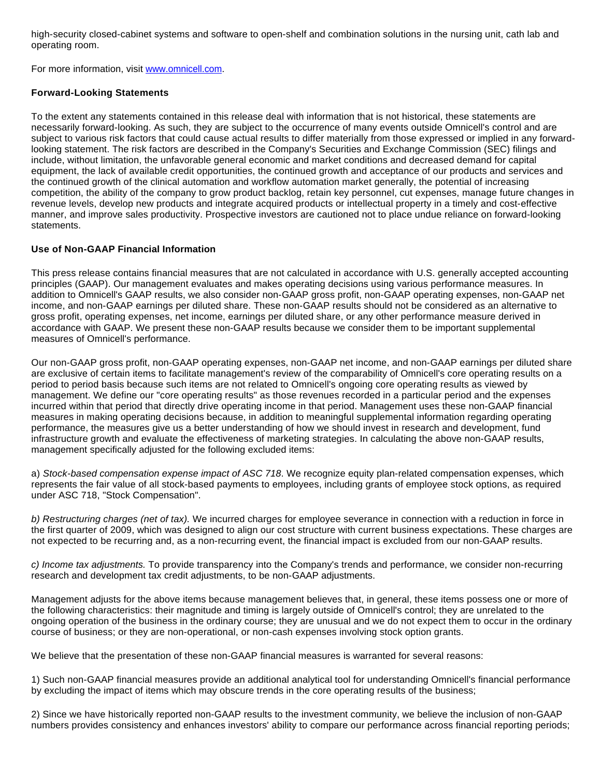high-security closed-cabinet systems and software to open-shelf and combination solutions in the nursing unit, cath lab and operating room.

For more information, visit [www.omnicell.com](http://www.omnicell.com/).

### **Forward-Looking Statements**

To the extent any statements contained in this release deal with information that is not historical, these statements are necessarily forward-looking. As such, they are subject to the occurrence of many events outside Omnicell's control and are subject to various risk factors that could cause actual results to differ materially from those expressed or implied in any forwardlooking statement. The risk factors are described in the Company's Securities and Exchange Commission (SEC) filings and include, without limitation, the unfavorable general economic and market conditions and decreased demand for capital equipment, the lack of available credit opportunities, the continued growth and acceptance of our products and services and the continued growth of the clinical automation and workflow automation market generally, the potential of increasing competition, the ability of the company to grow product backlog, retain key personnel, cut expenses, manage future changes in revenue levels, develop new products and integrate acquired products or intellectual property in a timely and cost-effective manner, and improve sales productivity. Prospective investors are cautioned not to place undue reliance on forward-looking statements.

## **Use of Non-GAAP Financial Information**

This press release contains financial measures that are not calculated in accordance with U.S. generally accepted accounting principles (GAAP). Our management evaluates and makes operating decisions using various performance measures. In addition to Omnicell's GAAP results, we also consider non-GAAP gross profit, non-GAAP operating expenses, non-GAAP net income, and non-GAAP earnings per diluted share. These non-GAAP results should not be considered as an alternative to gross profit, operating expenses, net income, earnings per diluted share, or any other performance measure derived in accordance with GAAP. We present these non-GAAP results because we consider them to be important supplemental measures of Omnicell's performance.

Our non-GAAP gross profit, non-GAAP operating expenses, non-GAAP net income, and non-GAAP earnings per diluted share are exclusive of certain items to facilitate management's review of the comparability of Omnicell's core operating results on a period to period basis because such items are not related to Omnicell's ongoing core operating results as viewed by management. We define our "core operating results" as those revenues recorded in a particular period and the expenses incurred within that period that directly drive operating income in that period. Management uses these non-GAAP financial measures in making operating decisions because, in addition to meaningful supplemental information regarding operating performance, the measures give us a better understanding of how we should invest in research and development, fund infrastructure growth and evaluate the effectiveness of marketing strategies. In calculating the above non-GAAP results, management specifically adjusted for the following excluded items:

a) Stock-based compensation expense impact of ASC 718. We recognize equity plan-related compensation expenses, which represents the fair value of all stock-based payments to employees, including grants of employee stock options, as required under ASC 718, "Stock Compensation".

b) Restructuring charges (net of tax). We incurred charges for employee severance in connection with a reduction in force in the first quarter of 2009, which was designed to align our cost structure with current business expectations. These charges are not expected to be recurring and, as a non-recurring event, the financial impact is excluded from our non-GAAP results.

c) Income tax adjustments. To provide transparency into the Company's trends and performance, we consider non-recurring research and development tax credit adjustments, to be non-GAAP adjustments.

Management adjusts for the above items because management believes that, in general, these items possess one or more of the following characteristics: their magnitude and timing is largely outside of Omnicell's control; they are unrelated to the ongoing operation of the business in the ordinary course; they are unusual and we do not expect them to occur in the ordinary course of business; or they are non-operational, or non-cash expenses involving stock option grants.

We believe that the presentation of these non-GAAP financial measures is warranted for several reasons:

1) Such non-GAAP financial measures provide an additional analytical tool for understanding Omnicell's financial performance by excluding the impact of items which may obscure trends in the core operating results of the business;

2) Since we have historically reported non-GAAP results to the investment community, we believe the inclusion of non-GAAP numbers provides consistency and enhances investors' ability to compare our performance across financial reporting periods;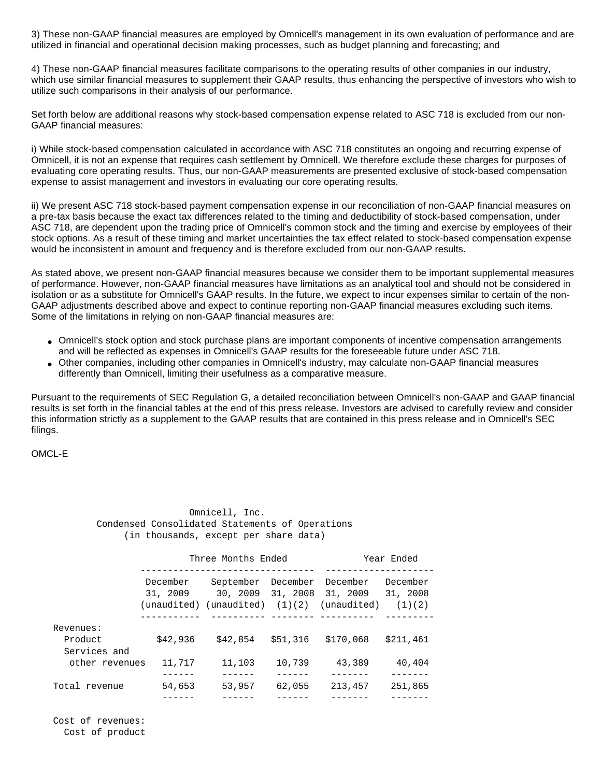3) These non-GAAP financial measures are employed by Omnicell's management in its own evaluation of performance and are utilized in financial and operational decision making processes, such as budget planning and forecasting; and

4) These non-GAAP financial measures facilitate comparisons to the operating results of other companies in our industry, which use similar financial measures to supplement their GAAP results, thus enhancing the perspective of investors who wish to utilize such comparisons in their analysis of our performance.

Set forth below are additional reasons why stock-based compensation expense related to ASC 718 is excluded from our non-GAAP financial measures:

i) While stock-based compensation calculated in accordance with ASC 718 constitutes an ongoing and recurring expense of Omnicell, it is not an expense that requires cash settlement by Omnicell. We therefore exclude these charges for purposes of evaluating core operating results. Thus, our non-GAAP measurements are presented exclusive of stock-based compensation expense to assist management and investors in evaluating our core operating results.

ii) We present ASC 718 stock-based payment compensation expense in our reconciliation of non-GAAP financial measures on a pre-tax basis because the exact tax differences related to the timing and deductibility of stock-based compensation, under ASC 718, are dependent upon the trading price of Omnicell's common stock and the timing and exercise by employees of their stock options. As a result of these timing and market uncertainties the tax effect related to stock-based compensation expense would be inconsistent in amount and frequency and is therefore excluded from our non-GAAP results.

As stated above, we present non-GAAP financial measures because we consider them to be important supplemental measures of performance. However, non-GAAP financial measures have limitations as an analytical tool and should not be considered in isolation or as a substitute for Omnicell's GAAP results. In the future, we expect to incur expenses similar to certain of the non-GAAP adjustments described above and expect to continue reporting non-GAAP financial measures excluding such items. Some of the limitations in relying on non-GAAP financial measures are:

- Omnicell's stock option and stock purchase plans are important components of incentive compensation arrangements and will be reflected as expenses in Omnicell's GAAP results for the foreseeable future under ASC 718.
- Other companies, including other companies in Omnicell's industry, may calculate non-GAAP financial measures differently than Omnicell, limiting their usefulness as a comparative measure.

Pursuant to the requirements of SEC Regulation G, a detailed reconciliation between Omnicell's non-GAAP and GAAP financial results is set forth in the financial tables at the end of this press release. Investors are advised to carefully review and consider this information strictly as a supplement to the GAAP results that are contained in this press release and in Omnicell's SEC filings.

OMCL-E

| Omnicell, Inc.                                  |  |
|-------------------------------------------------|--|
| Condensed Consolidated Statements of Operations |  |
| (in thousands, except per share data)           |  |

|                         |                      | Three Months Ended     | Year Ended           |                      |                      |
|-------------------------|----------------------|------------------------|----------------------|----------------------|----------------------|
|                         | December<br>31, 2009 | September<br>30, 2009  | December<br>31, 2008 | December<br>31, 2009 | December<br>31, 2008 |
|                         | (unaudited)          | $(unaudited)$ $(1)(2)$ |                      | (unaudited)          | (1)(2)               |
| Revenues:               |                      |                        |                      |                      |                      |
| Product<br>Services and | \$42,936             | \$42,854               | \$51.316             | \$170,068            | \$211,461            |
| other revenues          | 11,717               | 11,103                 | 10,739               | 43,389               | 40,404               |
| Total revenue           | 54,653               | 53,957                 | 62,055               | 213,457              | 251,865              |
|                         |                      |                        |                      |                      |                      |

 Cost of revenues: Cost of product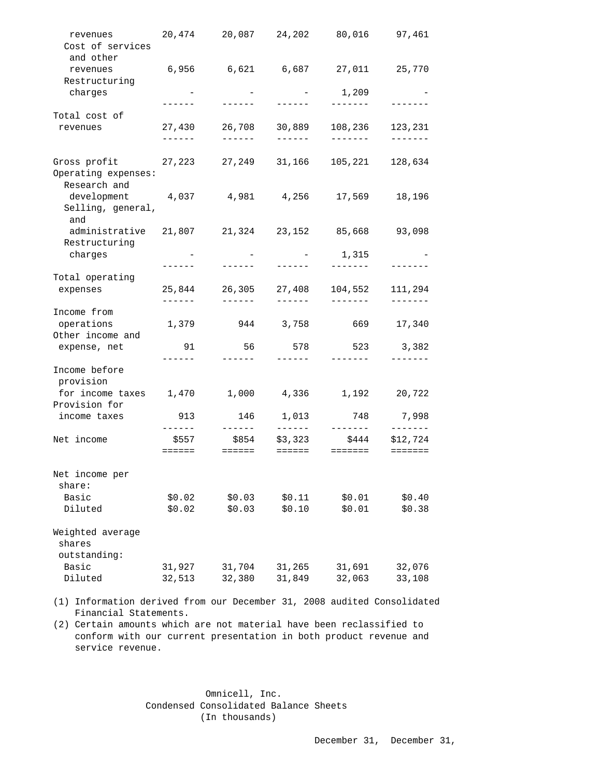| revenues<br>Cost of services<br>and other           | 20,474                                      | 20,087                                 | 24,202                        | 80,016                       | 97,461                                 |
|-----------------------------------------------------|---------------------------------------------|----------------------------------------|-------------------------------|------------------------------|----------------------------------------|
| revenues<br>Restructuring                           | 6,956                                       |                                        |                               |                              | 25,770                                 |
| charges                                             |                                             |                                        |                               | 1,209                        |                                        |
| Total cost of                                       |                                             | ------                                 |                               | -------                      |                                        |
| revenues                                            | 27,430<br>$- - - - - -$                     | 26,708<br>$- - - - - - -$              | 30,889<br>$- - - - - -$       | 108,236<br>-------           | 123,231<br>-------                     |
| Gross profit<br>Operating expenses:<br>Research and | 27,223                                      | 27,249                                 | 31,166                        | 105,221                      | 128,634                                |
| development 4,037<br>Selling, general,<br>and       |                                             | 4,981                                  | 4,256                         | 17,569                       | 18,196                                 |
| administrative<br>Restructuring                     | 21,807                                      | 21,324                                 | 23,152                        | 85,668                       | 93,098                                 |
| charges                                             |                                             | $\sim$ $-$                             | and the state of the state of | 1,315                        |                                        |
| Total operating                                     |                                             |                                        |                               |                              |                                        |
| expenses                                            | 25,844<br>$- - - - - -$                     | 26,305<br>$- - - - - -$                | 27,408<br>$- - - - - -$       | 104,552<br>$- - - - - - -$   | 111,294<br>-------                     |
| Income from                                         |                                             |                                        |                               |                              |                                        |
| operations<br>Other income and                      | 1,379                                       |                                        | 944 3,758                     | 669 — 10                     | 17,340                                 |
| expense, net                                        | 91                                          | 56                                     | 578                           | 523                          | 3,382                                  |
| Income before<br>provision                          | ------                                      | -------                                | ------                        | -------                      |                                        |
| for income taxes<br>Provision for                   | 1,470                                       | 1,000                                  | 4,336                         | 1,192                        | 20,722                                 |
| income taxes                                        | 913                                         | 146                                    | 1,013                         | 748                          | 7,998                                  |
| Net income                                          | $- - - - -$<br>\$557<br>$=$ $=$ $=$ $=$ $=$ | ------<br>\$854<br>$=$ $=$ $=$ $=$ $=$ | -------<br>\$3,323<br>======  | --------<br>\$444<br>======= | -------<br>\$12,724<br>$=$ = = = = = = |
| Net income per                                      |                                             |                                        |                               |                              |                                        |
| share:                                              |                                             |                                        |                               |                              |                                        |
| Basic<br>Diluted                                    | \$0.02<br>\$0.02                            | \$0.03<br>\$0.03                       | \$0.11<br>\$0.10              | \$0.01<br>\$0.01             | \$0.40<br>\$0.38                       |
| Weighted average                                    |                                             |                                        |                               |                              |                                        |
| shares                                              |                                             |                                        |                               |                              |                                        |
| outstanding:<br>Basic                               | 31,927                                      |                                        |                               |                              |                                        |
| Diluted                                             | 32,513                                      | 31,704<br>32,380                       | 31,265<br>31,849              | 31,691<br>32,063             | 32,076<br>33,108                       |
|                                                     |                                             |                                        |                               |                              |                                        |

 (1) Information derived from our December 31, 2008 audited Consolidated Financial Statements.

 (2) Certain amounts which are not material have been reclassified to conform with our current presentation in both product revenue and service revenue.

> Omnicell, Inc. Condensed Consolidated Balance Sheets (In thousands)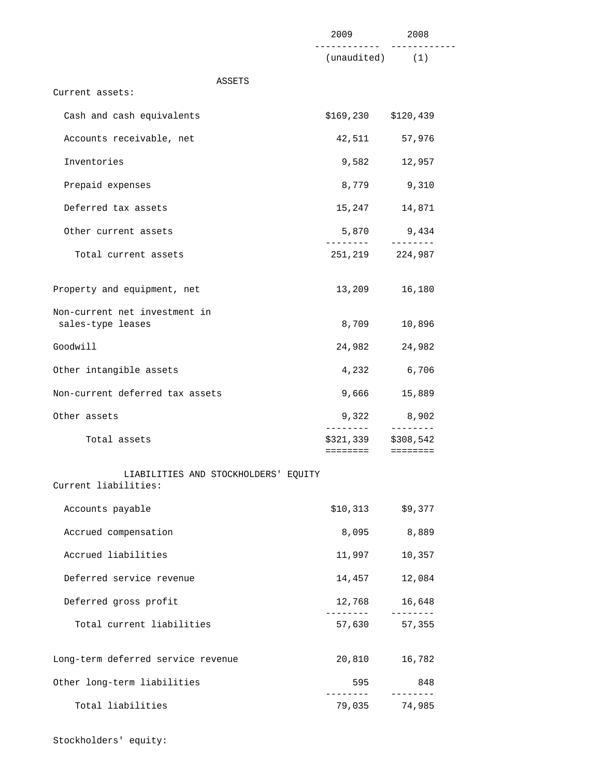|                                                              | 2009                              | 2008                   |
|--------------------------------------------------------------|-----------------------------------|------------------------|
|                                                              | $(unaudited)$ $(1)$               |                        |
| ASSETS<br>Current assets:                                    |                                   |                        |
| Cash and cash equivalents                                    | $$169, 230$ $$120, 439$           |                        |
| Accounts receivable, net                                     | 42,511                            | 57,976                 |
| Inventories                                                  | 9,582                             | 12,957                 |
| Prepaid expenses                                             | 8,779                             | 9,310                  |
| Deferred tax assets                                          | 15,247                            | 14,871                 |
|                                                              |                                   |                        |
| Other current assets                                         | . _ _ _ _ _ _ _                   | 5,870 9,434            |
| Total current assets                                         | 251,219                           | 224,987                |
| Property and equipment, net                                  | 13,209                            | 16,180                 |
| Non-current net investment in<br>sales-type leases           | 8,709                             | 10,896                 |
| Goodwill                                                     | 24,982                            | 24,982                 |
| Other intangible assets                                      | 4,232                             | 6,706                  |
| Non-current deferred tax assets                              | 9,666                             | 15,889                 |
| Other assets                                                 | 9,322                             | 8,902                  |
| Total assets                                                 | ________<br>\$321,339<br>======== | ---------<br>\$308,542 |
| LIABILITIES AND STOCKHOLDERS' EQUITY<br>Current liabilities: |                                   |                        |
| Accounts payable                                             | \$10,313                          | \$9,377                |
| Accrued compensation                                         | 8,095                             | 8,889                  |
| Accrued liabilities                                          | 11,997                            | 10,357                 |
| Deferred service revenue                                     | 14,457                            | 12,084                 |
| Deferred gross profit                                        | 12,768                            | 16,648                 |
| Total current liabilities                                    | --------<br>57,630                | ---------<br>57,355    |
| Long-term deferred service revenue                           | 20,810                            | 16,782                 |
| Other long-term liabilities                                  | 595                               | 848                    |
| Total liabilities                                            | 79,035                            | --------<br>74,985     |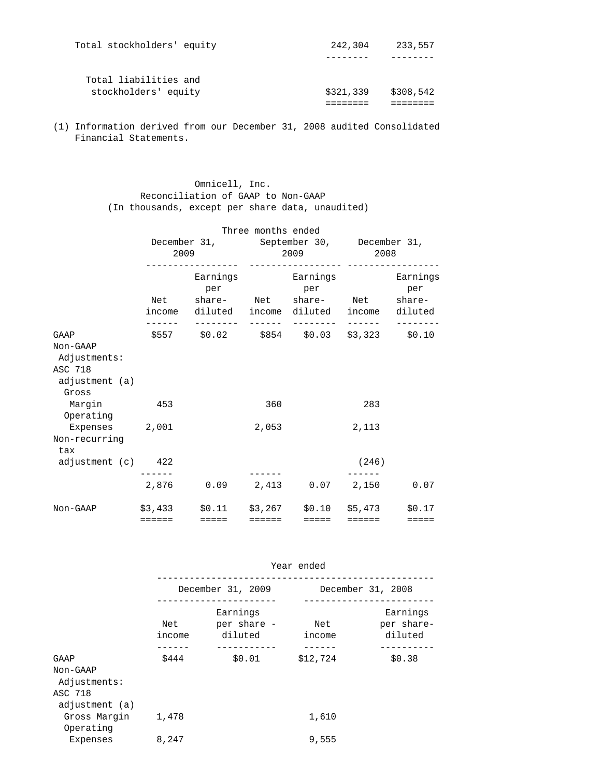| Total liabilities and<br>stockholders' equity | \$321,339 | \$308,542 |
|-----------------------------------------------|-----------|-----------|
|                                               |           |           |
| Total stockholders' equity                    | 242,304   | 233,557   |

 (1) Information derived from our December 31, 2008 audited Consolidated Financial Statements.

> Omnicell, Inc. Reconciliation of GAAP to Non-GAAP (In thousands, except per share data, unaudited)

|                         | 2009                                                                                    | Three months ended<br>December 31, September 30, December 31,<br>2009 2008 |                          |                         |                 |
|-------------------------|-----------------------------------------------------------------------------------------|----------------------------------------------------------------------------|--------------------------|-------------------------|-----------------|
|                         | per<br>Net share- Net share- Net share-<br>income diluted income diluted income diluted |                                                                            | Earnings Earnings<br>per |                         | Earnings<br>per |
| GAAP                    | \$557 \$0.02 \$854 \$0.03 \$3,323 \$0.10                                                |                                                                            |                          |                         |                 |
| Non-GAAP                |                                                                                         |                                                                            |                          |                         |                 |
| Adjustments:            |                                                                                         |                                                                            |                          |                         |                 |
| ASC 718                 |                                                                                         |                                                                            |                          |                         |                 |
| adjustment (a)          |                                                                                         |                                                                            |                          |                         |                 |
| Gross                   |                                                                                         |                                                                            |                          |                         |                 |
| Margin 453<br>Operating |                                                                                         | 360                                                                        |                          | 283                     |                 |
| Expenses 2,001          |                                                                                         | 2,053                                                                      |                          | 2,113                   |                 |
| Non-recurring           |                                                                                         |                                                                            |                          |                         |                 |
| tax                     |                                                                                         |                                                                            |                          |                         |                 |
| adjustment (c) 422      |                                                                                         |                                                                            |                          | (246)                   |                 |
|                         |                                                                                         |                                                                            |                          |                         |                 |
|                         | 2,876 0.09 2,413 0.07 2,150 0.07                                                        |                                                                            |                          |                         |                 |
| Non-GAAP                | $$3,433$ $$0.11$ $$3,267$ $$0.10$ $$5,473$ $$0.17$                                      |                                                                            |                          |                         |                 |
|                         | ======   =====                                                                          | $=$ $=$ $=$ $=$ $=$                                                        | <b>EEEE</b>              | $=$ $=$ $=$ $=$ $=$ $=$ | $=$ $=$ $=$ $=$ |

|                                                               | Year ended    |                                    |               |                                   |  |
|---------------------------------------------------------------|---------------|------------------------------------|---------------|-----------------------------------|--|
|                                                               |               | December 31, 2009                  |               | December 31, 2008                 |  |
|                                                               | Net<br>income | Earnings<br>per share -<br>diluted | Net<br>income | Earnings<br>per share-<br>diluted |  |
| GAAP<br>Non-GAAP<br>Adjustments:<br>ASC 718<br>adjustment (a) | \$444         | \$0.01                             | \$12,724      | \$0.38                            |  |
| Gross Margin<br>Operating                                     | 1,478         |                                    | 1,610         |                                   |  |
| Expenses                                                      | 8,247         |                                    | 9,555         |                                   |  |